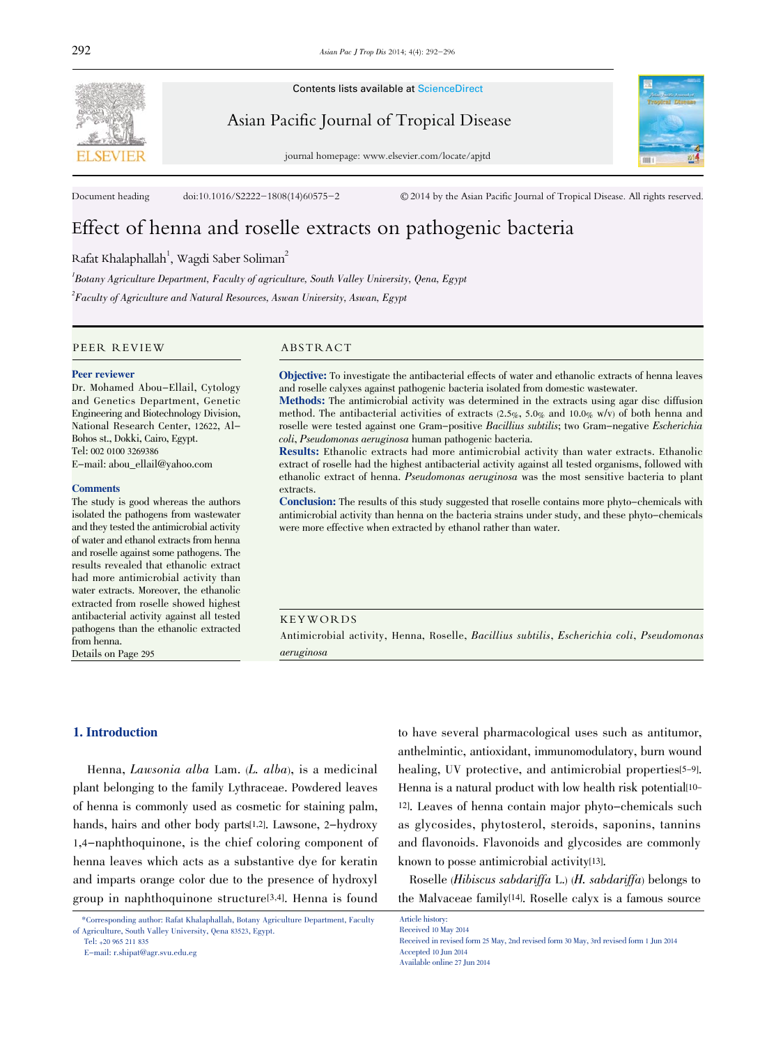

Contents lists available at ScienceDirect

Asian Pacific Journal of Tropical Disease

journal homepage: www.elsevier.com/locate/apjtd



Document heading doi:10.1016/S2222-1808(14)60575-2 © 2014 by the Asian Pacific Journal of Tropical Disease. All rights reserved.

# Effect of henna and roselle extracts on pathogenic bacteria

Rafat Khalaphallah $^1$ , Wagdi Saber Soliman $^2$ 

 ${}^{l}$ Botany Agriculture Department, Faculty of agriculture, South Valley University, Qena, Egypt

 $^2$ Faculty of Agriculture and Natural Resources, Aswan University, Aswan, Egypt

PEER REVIEW ABSTRACT

#### Peer reviewer

Dr. Mohamed Abou-Ellail, Cytology and Genetics Department, Genetic Engineering and Biotechnology Division, National Research Center, 12622, Al-Bohos st., Dokki, Cairo, Egypt. Tel: 002 0100 3269386 E-mail: abou\_ellail@yahoo.com

#### **Comments**

The study is good whereas the authors isolated the pathogens from wastewater and they tested the antimicrobial activity of water and ethanol extracts from henna and roselle against some pathogens. The results revealed that ethanolic extract had more antimicrobial activity than water extracts. Moreover, the ethanolic extracted from roselle showed highest antibacterial activity against all tested pathogens than the ethanolic extracted from henna.

Details on Page 295

Objective: To investigate the antibacterial effects of water and ethanolic extracts of henna leaves and roselle calyxes against pathogenic bacteria isolated from domestic wastewater.

Methods: The antimicrobial activity was determined in the extracts using agar disc diffusion method. The antibacterial activities of extracts (2.5%, 5.0% and 10.0% w/v) of both henna and roselle were tested against one Gram-positive Bacillius subtilis; two Gram-negative Escherichia coli, Pseudomonas aeruginosa human pathogenic bacteria.

Results: Ethanolic extracts had more antimicrobial activity than water extracts. Ethanolic extract of roselle had the highest antibacterial activity against all tested organisms, followed with ethanolic extract of henna. Pseudomonas aeruginosa was the most sensitive bacteria to plant extracts.

Conclusion: The results of this study suggested that roselle contains more phyto-chemicals with antimicrobial activity than henna on the bacteria strains under study, and these phyto-chemicals were more effective when extracted by ethanol rather than water.

#### KEYWORDS

Antimicrobial activity, Henna, Roselle, Bacillius subtilis, Escherichia coli, Pseudomonas aeruginosa

# 1. Introduction

Henna, Lawsonia alba Lam. (L. alba), is a medicinal plant belonging to the family Lythraceae. Powdered leaves of henna is commonly used as cosmetic for staining palm, hands, hairs and other body parts[1,2]. Lawsone, 2-hydroxy 1,4-naphthoquinone, is the chief coloring component of henna leaves which acts as a substantive dye for keratin and imparts orange color due to the presence of hydroxyl group in naphthoquinone structure[3,4]. Henna is found

E-mail: r.shipat@agr.svu.edu.eg

to have several pharmacological uses such as antitumor, anthelmintic, antioxidant, immunomodulatory, burn wound healing, UV protective, and antimicrobial properties<sup>[5-9]</sup>. Henna is a natural product with low health risk potential<sup>[10-1</sup>] 12]. Leaves of henna contain major phyto-chemicals such as glycosides, phytosterol, steroids, saponins, tannins and flavonoids. Flavonoids and glycosides are commonly known to posse antimicrobial activity[13].

Roselle (Hibiscus sabdariffa L.) (H. sabdariffa) belongs to the Malvaceae family[14]. Roselle calyx is a famous source

Received 10 May 2014 Received in revised form 25 May, 2nd revised form 30 May, 3rd revised form 1 Jun 2014 Accepted 10 Jun 2014

Article history:

Available online 27 Jun 2014

<sup>\*</sup>Corresponding author: Rafat Khalaphallah, Botany Agriculture Department, Faculty of Agriculture, South Valley University, Qena 83523, Egypt. Tel: +20 965 211 835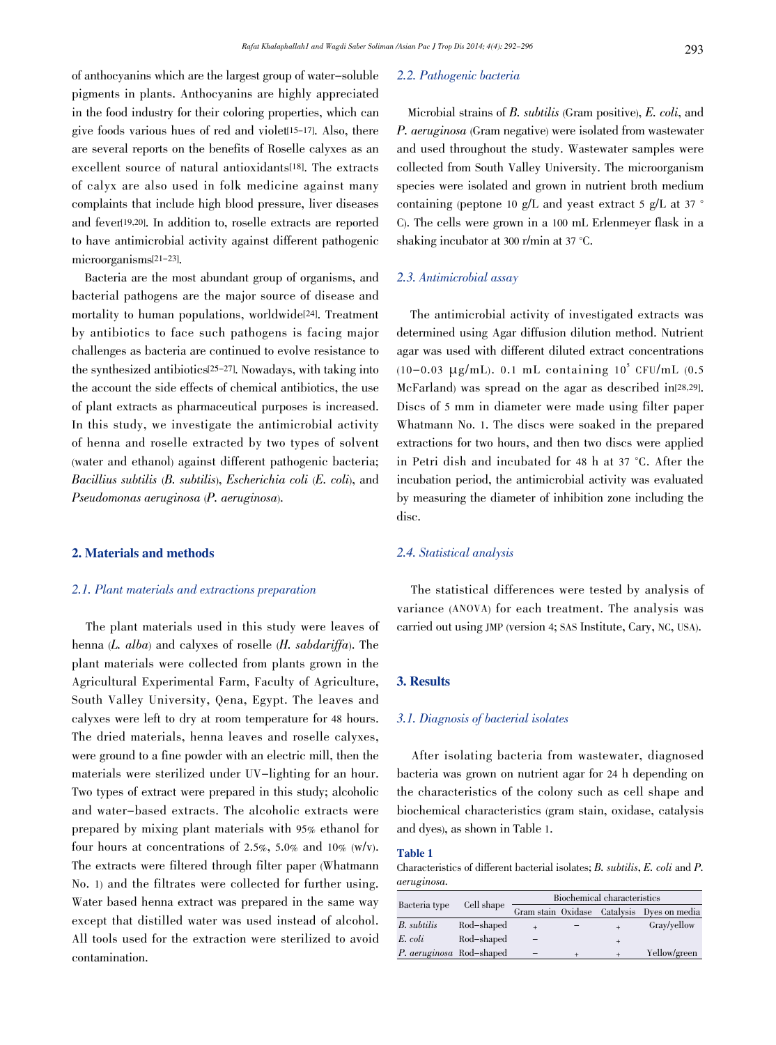of anthocyanins which are the largest group of water-soluble pigments in plants. Anthocyanins are highly appreciated in the food industry for their coloring properties, which can give foods various hues of red and violet[15-17]. Also, there are several reports on the benefits of Roselle calyxes as an excellent source of natural antioxidants[18]. The extracts of calyx are also used in folk medicine against many complaints that include high blood pressure, liver diseases and fever[19,20]. In addition to, roselle extracts are reported to have antimicrobial activity against different pathogenic microorganisms[21-23].

Bacteria are the most abundant group of organisms, and bacterial pathogens are the major source of disease and mortality to human populations, worldwide[24]. Treatment by antibiotics to face such pathogens is facing major challenges as bacteria are continued to evolve resistance to the synthesized antibiotics[25-27]. Nowadays, with taking into the account the side effects of chemical antibiotics, the use of plant extracts as pharmaceutical purposes is increased. In this study, we investigate the antimicrobial activity of henna and roselle extracted by two types of solvent (water and ethanol) against different pathogenic bacteria; Bacillius subtilis (B. subtilis), Escherichia coli (E. coli), and Pseudomonas aeruginosa (P. aeruginosa).

#### 2. Materials and methods

#### 2.1. Plant materials and extractions preparation

The plant materials used in this study were leaves of henna (L. alba) and calyxes of roselle (H. sabdariffa). The plant materials were collected from plants grown in the Agricultural Experimental Farm, Faculty of Agriculture, South Valley University, Qena, Egypt. The leaves and calyxes were left to dry at room temperature for 48 hours. The dried materials, henna leaves and roselle calyxes, were ground to a fine powder with an electric mill, then the materials were sterilized under UV-lighting for an hour. Two types of extract were prepared in this study; alcoholic and water-based extracts. The alcoholic extracts were prepared by mixing plant materials with 95% ethanol for four hours at concentrations of 2.5%, 5.0% and 10% (w/v). The extracts were filtered through filter paper (Whatmann No. 1) and the filtrates were collected for further using. Water based henna extract was prepared in the same way except that distilled water was used instead of alcohol. All tools used for the extraction were sterilized to avoid contamination.

#### 2.2. Pathogenic bacteria

Microbial strains of B. subtilis (Gram positive), E. coli, and P. aeruginosa (Gram negative) were isolated from wastewater and used throughout the study. Wastewater samples were collected from South Valley University. The microorganism species were isolated and grown in nutrient broth medium containing (peptone 10 g/L and yeast extract 5 g/L at 37 ° C). The cells were grown in a 100 mL Erlenmeyer flask in a shaking incubator at 300 r/min at 37 °C.

# 2.3. Antimicrobial assay

The antimicrobial activity of investigated extracts was determined using Agar diffusion dilution method. Nutrient agar was used with different diluted extract concentrations (10-0.03  $\mu$ g/mL). 0.1 mL containing 10<sup>5</sup> CFU/mL (0.5 McFarland) was spread on the agar as described in[28,29]. Discs of 5 mm in diameter were made using filter paper Whatmann No. 1. The discs were soaked in the prepared extractions for two hours, and then two discs were applied in Petri dish and incubated for 48 h at 37 °C. After the incubation period, the antimicrobial activity was evaluated by measuring the diameter of inhibition zone including the disc.

#### 2.4. Statistical analysis

The statistical differences were tested by analysis of variance (ANOVA) for each treatment. The analysis was carried out using JMP (version 4; SAS Institute, Cary, NC, USA).

#### 3. Results

#### 3.1. Diagnosis of bacterial isolates

After isolating bacteria from wastewater, diagnosed bacteria was grown on nutrient agar for 24 h depending on the characteristics of the colony such as cell shape and biochemical characteristics (gram stain, oxidase, catalysis and dyes), as shown in Table 1.

# Table 1

Characteristics of different bacterial isolates; B. subtilis, E. coli and P. aeruginosa.

|                          | Cell shape | Biochemical characteristics |  |        |                                            |
|--------------------------|------------|-----------------------------|--|--------|--------------------------------------------|
| Bacteria type            |            |                             |  |        | Gram stain Oxidase Catalysis Dyes on media |
| B. subtilis              | Rod-shaped |                             |  |        | Gray/yellow                                |
| E. coli                  | Rod-shaped |                             |  | $^{+}$ |                                            |
| P. aeruginosa Rod-shaped |            |                             |  |        | Yellow/green                               |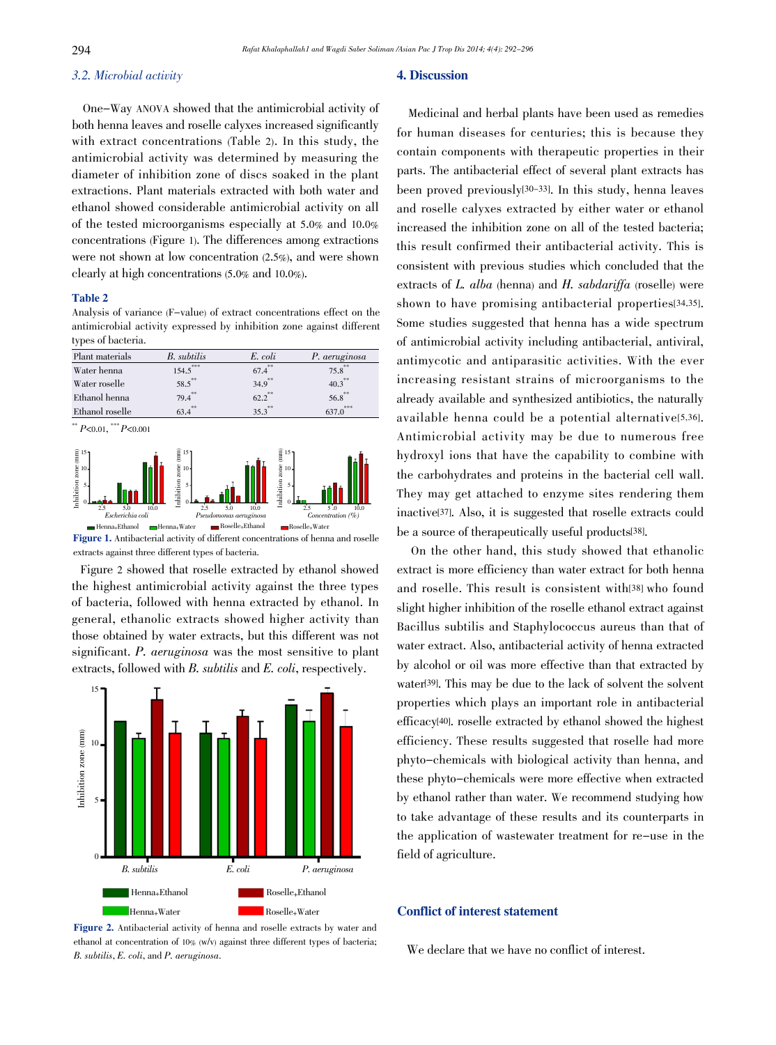#### 3.2. Microbial activity

One-Way ANOVA showed that the antimicrobial activity of both henna leaves and roselle calyxes increased significantly with extract concentrations (Table 2). In this study, the antimicrobial activity was determined by measuring the diameter of inhibition zone of discs soaked in the plant extractions. Plant materials extracted with both water and ethanol showed considerable antimicrobial activity on all of the tested microorganisms especially at 5.0% and 10.0% concentrations (Figure 1). The differences among extractions were not shown at low concentration (2.5%), and were shown clearly at high concentrations (5.0% and 10.0%).

#### Table 2

Analysis of variance (F-value) of extract concentrations effect on the antimicrobial activity expressed by inhibition zone against different types of bacteria.

| Plant materials | B. subtilis | E. coli              | P. aeruginosa        |
|-----------------|-------------|----------------------|----------------------|
| Water henna     | $154.5$ *** | $67.4$ **            | $75.8$ **            |
| Water roselle   | $58.5***$   | $34.9^{**}$          | $40.3$ <sup>**</sup> |
| Ethanol henna   | $79.4$ **   | $62.2$ <sup>**</sup> | $56.8$ **            |
| Ethanol roselle | $63.4^{**}$ | $35.3^{**}$          | ***<br>637.0         |
|                 |             |                      |                      |



extracts against three different types of bacteria.

Figure 2 showed that roselle extracted by ethanol showed the highest antimicrobial activity against the three types of bacteria, followed with henna extracted by ethanol. In general, ethanolic extracts showed higher activity than those obtained by water extracts, but this different was not significant. P. *aeruginosa* was the most sensitive to plant extracts, followed with B. subtilis and E. coli, respectively.



Figure 2. Antibacterial activity of henna and roselle extracts by water and ethanol at concentration of 10% (w/v) against three different types of bacteria; B. subtilis, E. coli, and P. aeruginosa.

#### 4. Discussion

Medicinal and herbal plants have been used as remedies for human diseases for centuries; this is because they contain components with therapeutic properties in their parts. The antibacterial effect of several plant extracts has been proved previously[30-33]. In this study, henna leaves and roselle calyxes extracted by either water or ethanol increased the inhibition zone on all of the tested bacteria; this result confirmed their antibacterial activity. This is consistent with previous studies which concluded that the extracts of L. alba (henna) and H. sabdariffa (roselle) were shown to have promising antibacterial properties[34,35]. Some studies suggested that henna has a wide spectrum of antimicrobial activity including antibacterial, antiviral, antimycotic and antiparasitic activities. With the ever increasing resistant strains of microorganisms to the already available and synthesized antibiotics, the naturally available henna could be a potential alternative[5,36]. Antimicrobial activity may be due to numerous free hydroxyl ions that have the capability to combine with the carbohydrates and proteins in the bacterial cell wall. They may get attached to enzyme sites rendering them inactive[37]. Also, it is suggested that roselle extracts could be a source of therapeutically useful products[38].

On the other hand, this study showed that ethanolic extract is more efficiency than water extract for both henna and roselle. This result is consistent with[38] who found slight higher inhibition of the roselle ethanol extract against Bacillus subtilis and Staphylococcus aureus than that of water extract. Also, antibacterial activity of henna extracted by alcohol or oil was more effective than that extracted by water[39]. This may be due to the lack of solvent the solvent properties which plays an important role in antibacterial efficacy[40]. roselle extracted by ethanol showed the highest efficiency. These results suggested that roselle had more phyto-chemicals with biological activity than henna, and these phyto-chemicals were more effective when extracted by ethanol rather than water. We recommend studying how to take advantage of these results and its counterparts in the application of wastewater treatment for re-use in the field of agriculture.

#### Conflict of interest statement

We declare that we have no conflict of interest.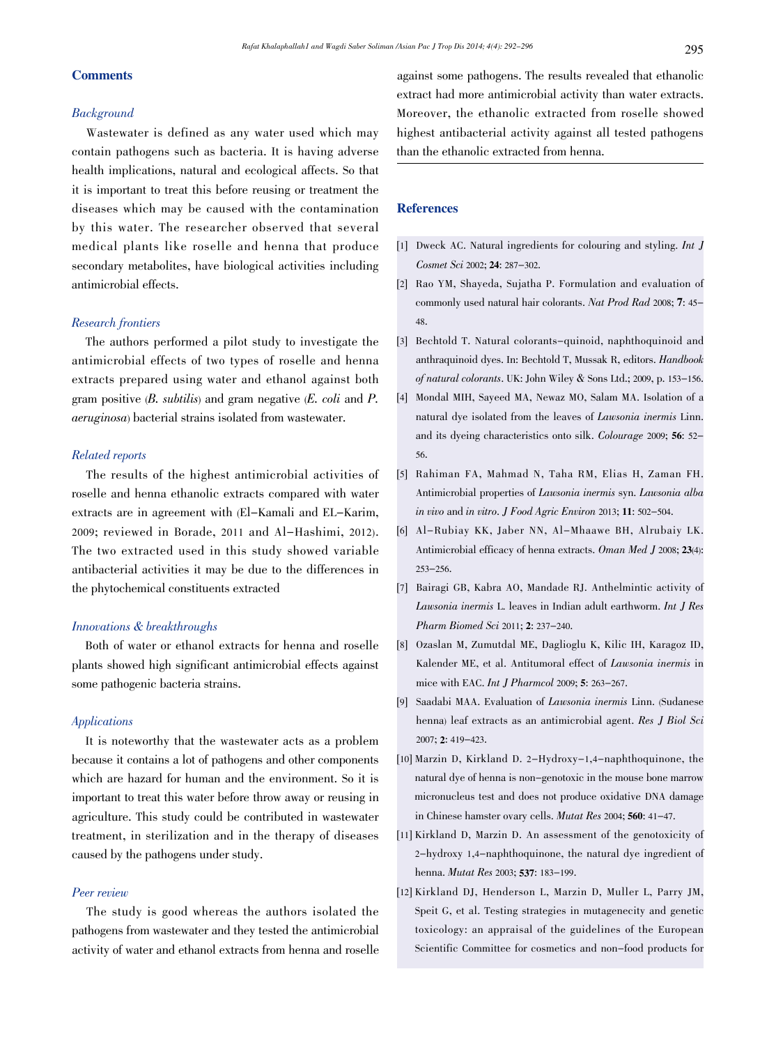# **Comments**

#### Background

Wastewater is defined as any water used which may contain pathogens such as bacteria. It is having adverse health implications, natural and ecological affects. So that it is important to treat this before reusing or treatment the diseases which may be caused with the contamination by this water. The researcher observed that several medical plants like roselle and henna that produce secondary metabolites, have biological activities including antimicrobial effects.

# Research frontiers

The authors performed a pilot study to investigate the antimicrobial effects of two types of roselle and henna extracts prepared using water and ethanol against both gram positive  $(B. \text{ subtilis})$  and gram negative  $(E. \text{ coli} \text{ and } P.$ aeruginosa) bacterial strains isolated from wastewater.

## Related reports

The results of the highest antimicrobial activities of roselle and henna ethanolic extracts compared with water extracts are in agreement with (El-Kamali and EL-Karim, 2009; reviewed in Borade, 2011 and Al-Hashimi, 2012). The two extracted used in this study showed variable antibacterial activities it may be due to the differences in the phytochemical constituents extracted

# Innovations & breakthroughs

Both of water or ethanol extracts for henna and roselle plants showed high significant antimicrobial effects against some pathogenic bacteria strains.

# Applications

It is noteworthy that the wastewater acts as a problem because it contains a lot of pathogens and other components which are hazard for human and the environment. So it is important to treat this water before throw away or reusing in agriculture. This study could be contributed in wastewater treatment, in sterilization and in the therapy of diseases caused by the pathogens under study.

## Peer review

The study is good whereas the authors isolated the pathogens from wastewater and they tested the antimicrobial activity of water and ethanol extracts from henna and roselle

against some pathogens. The results revealed that ethanolic extract had more antimicrobial activity than water extracts. Moreover, the ethanolic extracted from roselle showed highest antibacterial activity against all tested pathogens than the ethanolic extracted from henna.

# **References**

- [1] Dweck AC. Natural ingredients for colouring and styling. Int J Cosmet Sci 2002; 24: <sup>287</sup>-302.
- [2] Rao YM, Shayeda, Sujatha P. Formulation and evaluation of commonly used natural hair colorants. Nat Prod Rad 2008; 7: <sup>45</sup>- 48.
- [3] Bechtold T. Natural colorants-quinoid, naphthoquinoid and anthraquinoid dyes. In: Bechtold T, Mussak R, editors. Handbook of natural colorants. UK: John Wiley & Sons Ltd.; 2009, p. <sup>153</sup>-156.
- [4] Mondal MIH, Sayeed MA, Newaz MO, Salam MA. Isolation of a natural dye isolated from the leaves of Lawsonia inermis Linn. and its dyeing characteristics onto silk. Colourage 2009; 56: <sup>52</sup>- 56.
- [5] Rahiman FA, Mahmad N, Taha RM, Elias H, Zaman FH. Antimicrobial properties of Lawsonia inermis syn. Lawsonia alba in vivo and in vitro. J Food Agric Environ 2013; 11: <sup>502</sup>-504.
- [6] Al-Rubiay KK, Jaber NN, Al-Mhaawe BH, Alrubaiy LK. Antimicrobial efficacy of henna extracts. Oman Med J 2008; 23(4): <sup>253</sup>-256.
- [7] Bairagi GB, Kabra AO, Mandade RJ. Anthelmintic activity of Lawsonia inermis L. leaves in Indian adult earthworm. Int J Res Pharm Biomed Sci 2011; 2: <sup>237</sup>-240.
- [8] Ozaslan M, Zumutdal ME, Daglioglu K, Kilic IH, Karagoz ID, Kalender ME, et al. Antitumoral effect of Lawsonia inermis in mice with EAC. Int J Pharmcol 2009; 5: <sup>263</sup>-267.
- [9] Saadabi MAA. Evaluation of Lawsonia inermis Linn. (Sudanese henna) leaf extracts as an antimicrobial agent. Res J Biol Sci 2007; 2: <sup>419</sup>-423.
- [10] Marzin D, Kirkland D. 2-Hydroxy-1,4-naphthoquinone, the natural dye of henna is non-genotoxic in the mouse bone marrow micronucleus test and does not produce oxidative DNA damage in Chinese hamster ovary cells. Mutat Res 2004; 560: <sup>41</sup>-47.
- [11] Kirkland D, Marzin D. An assessment of the genotoxicity of 2-hydroxy 1,4-naphthoquinone, the natural dye ingredient of henna. Mutat Res 2003; 537: <sup>183</sup>-199.
- [12] Kirkland DJ, Henderson L, Marzin D, Muller L, Parry JM, Speit G, et al. Testing strategies in mutagenecity and genetic toxicology: an appraisal of the guidelines of the European Scientific Committee for cosmetics and non-food products for